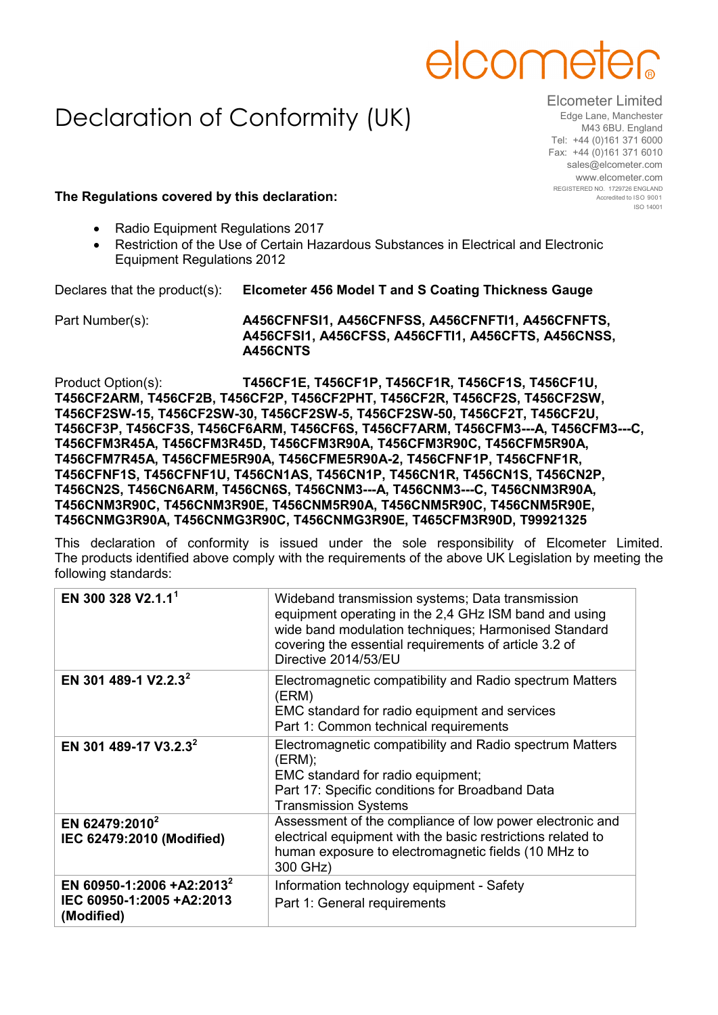

## Declaration of Conformity (UK)

Elcometer Limited Edge Lane, Manchester M43 6BU. England Tel: +44 (0)161 371 6000 Fax: +44 (0)161 371 6010 sales@elcometer.com www.elcometer.com REGISTERED NO. 1729726 ENGLAND Accredited to ISO 9001 ISO 14001

## **The Regulations covered by this declaration:**

- Radio Equipment Regulations 2017
- Restriction of the Use of Certain Hazardous Substances in Electrical and Electronic Equipment Regulations 2012

Declares that the product(s): **Elcometer 456 Model T and S Coating Thickness Gauge**

Part Number(s): **A456CFNFSI1, A456CFNFSS, A456CFNFTI1, A456CFNFTS, A456CFSI1, A456CFSS, A456CFTI1, A456CFTS, A456CNSS, A456CNTS**

Product Option(s): **T456CF1E, T456CF1P, T456CF1R, T456CF1S, T456CF1U, T456CF2ARM, T456CF2B, T456CF2P, T456CF2PHT, T456CF2R, T456CF2S, T456CF2SW, T456CF2SW-15, T456CF2SW-30, T456CF2SW-5, T456CF2SW-50, T456CF2T, T456CF2U, T456CF3P, T456CF3S, T456CF6ARM, T456CF6S, T456CF7ARM, T456CFM3---A, T456CFM3---C, T456CFM3R45A, T456CFM3R45D, T456CFM3R90A, T456CFM3R90C, T456CFM5R90A, T456CFM7R45A, T456CFME5R90A, T456CFME5R90A-2, T456CFNF1P, T456CFNF1R, T456CFNF1S, T456CFNF1U, T456CN1AS, T456CN1P, T456CN1R, T456CN1S, T456CN2P, T456CN2S, T456CN6ARM, T456CN6S, T456CNM3---A, T456CNM3---C, T456CNM3R90A, T456CNM3R90C, T456CNM3R90E, T456CNM5R90A, T456CNM5R90C, T456CNM5R90E, T456CNMG3R90A, T456CNMG3R90C, T456CNMG3R90E, T465CFM3R90D, T99921325**

This declaration of conformity is issued under the sole responsibility of Elcometer Limited. The products identified above comply with the requirements of the above UK Legislation by meeting the following standards:

| EN 300 328 V2.1.1 <sup>1</sup>                                                   | Wideband transmission systems; Data transmission<br>equipment operating in the 2,4 GHz ISM band and using<br>wide band modulation techniques; Harmonised Standard<br>covering the essential requirements of article 3.2 of<br>Directive 2014/53/EU |
|----------------------------------------------------------------------------------|----------------------------------------------------------------------------------------------------------------------------------------------------------------------------------------------------------------------------------------------------|
| EN 301 489-1 V2.2.3 <sup>2</sup>                                                 | Electromagnetic compatibility and Radio spectrum Matters<br>(ERM)<br>EMC standard for radio equipment and services<br>Part 1: Common technical requirements                                                                                        |
| EN 301 489-17 V3.2.3 <sup>2</sup>                                                | Electromagnetic compatibility and Radio spectrum Matters<br>(ERM);<br>EMC standard for radio equipment;<br>Part 17: Specific conditions for Broadband Data<br><b>Transmission Systems</b>                                                          |
| EN 62479:2010 <sup>2</sup><br>IEC 62479:2010 (Modified)                          | Assessment of the compliance of low power electronic and<br>electrical equipment with the basic restrictions related to<br>human exposure to electromagnetic fields (10 MHz to<br>300 GHz)                                                         |
| EN 60950-1:2006 +A2:2013 <sup>2</sup><br>IEC 60950-1:2005 +A2:2013<br>(Modified) | Information technology equipment - Safety<br>Part 1: General requirements                                                                                                                                                                          |